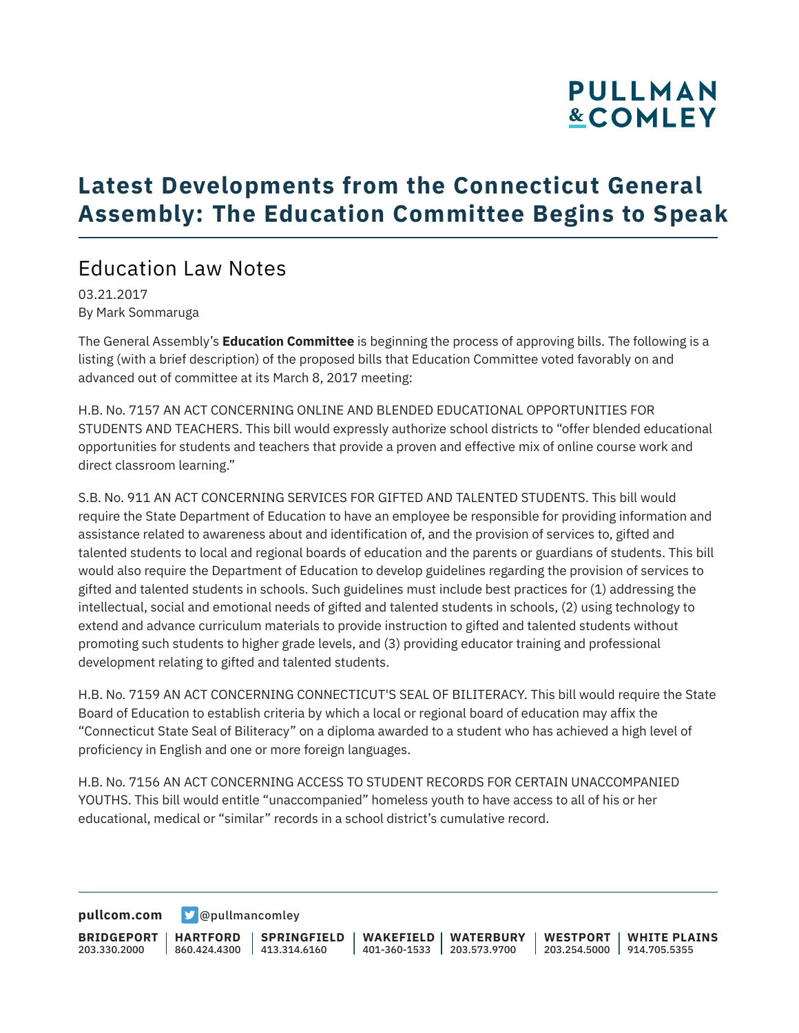# **PULLMAN &COMLEY**

## **Latest Developments from the Connecticut General Assembly: The Education Committee Begins to Speak**

### Education Law Notes

03.21.2017 By Mark Sommaruga

The General Assembly's **Education Committee** is beginning the process of approving bills. The following is a listing (with a brief description) of the proposed bills that Education Committee voted favorably on and advanced out of committee at its March 8, 2017 meeting:

H.B. No. 7157 AN ACT CONCERNING ONLINE AND BLENDED EDUCATIONAL OPPORTUNITIES FOR STUDENTS AND TEACHERS. This bill would expressly authorize school districts to "offer blended educational opportunities for students and teachers that provide a proven and effective mix of online course work and direct classroom learning."

S.B. No. 911 AN ACT CONCERNING SERVICES FOR GIFTED AND TALENTED STUDENTS. This bill would require the State Department of Education to have an employee be responsible for providing information and assistance related to awareness about and identification of, and the provision of services to, gifted and talented students to local and regional boards of education and the parents or guardians of students. This bill would also require the Department of Education to develop guidelines regarding the provision of services to gifted and talented students in schools. Such guidelines must include best practices for (1) addressing the intellectual, social and emotional needs of gifted and talented students in schools, (2) using technology to extend and advance curriculum materials to provide instruction to gifted and talented students without promoting such students to higher grade levels, and (3) providing educator training and professional development relating to gifted and talented students.

H.B. No. 7159 AN ACT CONCERNING CONNECTICUT'S SEAL OF BILITERACY. This bill would require the State Board of Education to establish criteria by which a local or regional board of education may affix the "Connecticut State Seal of Biliteracy" on a diploma awarded to a student who has achieved a high level of proficiency in English and one or more foreign languages.

H.B. No. 7156 AN ACT CONCERNING ACCESS TO STUDENT RECORDS FOR CERTAIN UNACCOMPANIED YOUTHS. This bill would entitle "unaccompanied" homeless youth to have access to all of his or her educational, medical or "similar" records in a school district's cumulative record.

**[pullcom.com](https://www.pullcom.com) g** [@pullmancomley](https://twitter.com/PullmanComley)

**BRIDGEPORT HARTFORD** 203.330.2000 860.424.4300 413.314.6160 **SPRINGFIELD WAKEFIELD WATERBURY** 401-360-1533 203.573.9700 **WESTPORT WHITE PLAINS** 203.254.5000 914.705.5355